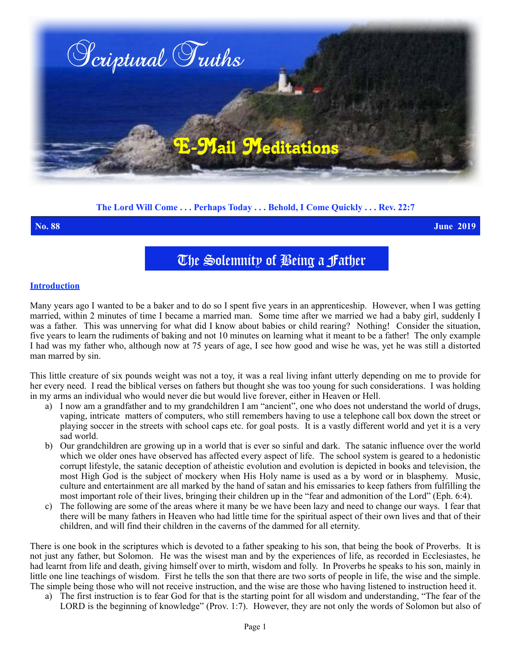

## **The Lord Will Come . . . Perhaps Today . . . Behold, I Come Quickly . . . Rev. 22:7**

**No. 88 June 2019**

The Solemnity of Being a Father

### **Introduction**

Many years ago I wanted to be a baker and to do so I spent five years in an apprenticeship. However, when I was getting married, within 2 minutes of time I became a married man. Some time after we married we had a baby girl, suddenly I was a father. This was unnerving for what did I know about babies or child rearing? Nothing! Consider the situation, five years to learn the rudiments of baking and not 10 minutes on learning what it meant to be a father! The only example I had was my father who, although now at 75 years of age, I see how good and wise he was, yet he was still a distorted man marred by sin.

This little creature of six pounds weight was not a toy, it was a real living infant utterly depending on me to provide for her every need. I read the biblical verses on fathers but thought she was too young for such considerations. I was holding in my arms an individual who would never die but would live forever, either in Heaven or Hell.

- a) I now am a grandfather and to my grandchildren I am "ancient", one who does not understand the world of drugs, vaping, intricate matters of computers, who still remembers having to use a telephone call box down the street or playing soccer in the streets with school caps etc. for goal posts. It is a vastly different world and yet it is a very sad world.
- b) Our grandchildren are growing up in a world that is ever so sinful and dark. The satanic influence over the world which we older ones have observed has affected every aspect of life. The school system is geared to a hedonistic corrupt lifestyle, the satanic deception of atheistic evolution and evolution is depicted in books and television, the most High God is the subject of mockery when His Holy name is used as a by word or in blasphemy. Music, culture and entertainment are all marked by the hand of satan and his emissaries to keep fathers from fulfilling the most important role of their lives, bringing their children up in the "fear and admonition of the Lord" (Eph. 6:4).
- c) The following are some of the areas where it many be we have been lazy and need to change our ways. I fear that there will be many fathers in Heaven who had little time for the spiritual aspect of their own lives and that of their children, and will find their children in the caverns of the dammed for all eternity.

There is one book in the scriptures which is devoted to a father speaking to his son, that being the book of Proverbs. It is not just any father, but Solomon. He was the wisest man and by the experiences of life, as recorded in Ecclesiastes, he had learnt from life and death, giving himself over to mirth, wisdom and folly. In Proverbs he speaks to his son, mainly in little one line teachings of wisdom. First he tells the son that there are two sorts of people in life, the wise and the simple. The simple being those who will not receive instruction, and the wise are those who having listened to instruction heed it.

a) The first instruction is to fear God for that is the starting point for all wisdom and understanding, "The fear of the LORD is the beginning of knowledge" (Prov. 1:7). However, they are not only the words of Solomon but also of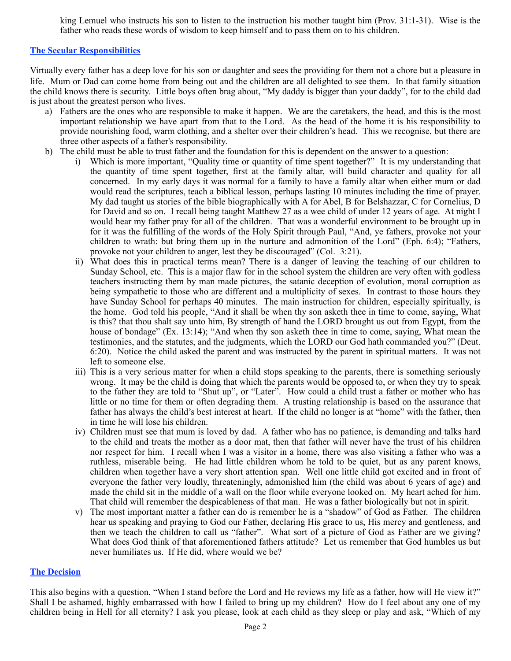king Lemuel who instructs his son to listen to the instruction his mother taught him (Prov. 31:1-31). Wise is the father who reads these words of wisdom to keep himself and to pass them on to his children.

# **The Secular Responsibilities**

Virtually every father has a deep love for his son or daughter and sees the providing for them not a chore but a pleasure in life. Mum or Dad can come home from being out and the children are all delighted to see them. In that family situation the child knows there is security. Little boys often brag about, "My daddy is bigger than your daddy", for to the child dad is just about the greatest person who lives.

- a) Fathers are the ones who are responsible to make it happen. We are the caretakers, the head, and this is the most important relationship we have apart from that to the Lord. As the head of the home it is his responsibility to provide nourishing food, warm clothing, and a shelter over their children's head. This we recognise, but there are three other aspects of a father's responsibility.
- b) The child must be able to trust father and the foundation for this is dependent on the answer to a question:
	- i) Which is more important, "Quality time or quantity of time spent together?" It is my understanding that the quantity of time spent together, first at the family altar, will build character and quality for all concerned. In my early days it was normal for a family to have a family altar when either mum or dad would read the scriptures, teach a biblical lesson, perhaps lasting 10 minutes including the time of prayer. My dad taught us stories of the bible biographically with A for Abel, B for Belshazzar, C for Cornelius, D for David and so on. I recall being taught Matthew 27 as a wee child of under 12 years of age. At night I would hear my father pray for all of the children. That was a wonderful environment to be brought up in for it was the fulfilling of the words of the Holy Spirit through Paul, "And, ye fathers, provoke not your children to wrath: but bring them up in the nurture and admonition of the Lord" (Eph. 6:4); "Fathers, provoke not your children to anger, lest they be discouraged" (Col. 3:21).
	- ii) What does this in practical terms mean? There is a danger of leaving the teaching of our children to Sunday School, etc. This is a major flaw for in the school system the children are very often with godless teachers instructing them by man made pictures, the satanic deception of evolution, moral corruption as being sympathetic to those who are different and a multiplicity of sexes. In contrast to those hours they have Sunday School for perhaps 40 minutes. The main instruction for children, especially spiritually, is the home. God told his people, "And it shall be when thy son asketh thee in time to come, saying, What is this? that thou shalt say unto him, By strength of hand the LORD brought us out from Egypt, from the house of bondage" (Ex. 13:14); "And when thy son asketh thee in time to come, saying, What mean the testimonies, and the statutes, and the judgments, which the LORD our God hath commanded you?" (Deut. 6:20). Notice the child asked the parent and was instructed by the parent in spiritual matters. It was not left to someone else.
	- iii) This is a very serious matter for when a child stops speaking to the parents, there is something seriously wrong. It may be the child is doing that which the parents would be opposed to, or when they try to speak to the father they are told to "Shut up", or "Later". How could a child trust a father or mother who has little or no time for them or often degrading them. A trusting relationship is based on the assurance that father has always the child's best interest at heart. If the child no longer is at "home" with the father, then in time he will lose his children.
	- iv) Children must see that mum is loved by dad. A father who has no patience, is demanding and talks hard to the child and treats the mother as a door mat, then that father will never have the trust of his children nor respect for him. I recall when I was a visitor in a home, there was also visiting a father who was a ruthless, miserable being. He had little children whom he told to be quiet, but as any parent knows, children when together have a very short attention span. Well one little child got excited and in front of everyone the father very loudly, threateningly, admonished him (the child was about 6 years of age) and made the child sit in the middle of a wall on the floor while everyone looked on. My heart ached for him. That child will remember the despicableness of that man. He was a father biologically but not in spirit.
	- v) The most important matter a father can do is remember he is a "shadow" of God as Father. The children hear us speaking and praying to God our Father, declaring His grace to us, His mercy and gentleness, and then we teach the children to call us "father". What sort of a picture of God as Father are we giving? What does God think of that aforementioned fathers attitude? Let us remember that God humbles us but never humiliates us. If He did, where would we be?

## **The Decision**

This also begins with a question, "When I stand before the Lord and He reviews my life as a father, how will He view it?" Shall I be ashamed, highly embarrassed with how I failed to bring up my children? How do I feel about any one of my children being in Hell for all eternity? I ask you please, look at each child as they sleep or play and ask, "Which of my